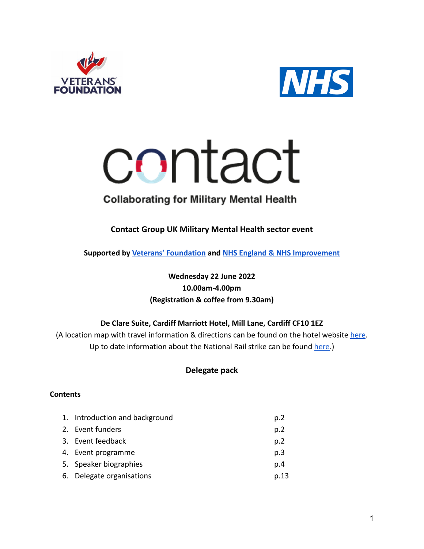



# contact

# **Collaborating for Military Mental Health**

**Contact Group UK Military Mental Health sector event**

**Supported by [Veterans' Foundation](https://www.veteransfoundation.org.uk/) and NHS England [& NHS Improvement](https://www.nhs.uk/nhs-services/armed-forces-community/mental-health/veterans-reservists/)**

# **Wednesday 22 June 2022 10.00am-4.00pm (Registration & coffee from 9.30am)**

# **De Clare Suite, Cardiff Marriott Hotel, Mill Lane, Cardiff CF10 1EZ**

(A location map with travel information & directions can be found on the hotel website [here](https://www.marriott.co.uk/hotels/maps/travel/cwldt-cardiff-marriott-hotel/). Up to date information about the National Rail strike can be found [here](https://www.nationalrail.co.uk/service_disruptions/industrialaction.aspx).)

# **Delegate pack**

# **Contents**

| 1. Introduction and background | p.2  |
|--------------------------------|------|
| 2. Event funders               | p.2  |
| 3. Event feedback              | p.2  |
| 4. Event programme             | p.3  |
| 5. Speaker biographies         | p.4  |
| 6. Delegate organisations      | p.13 |
|                                |      |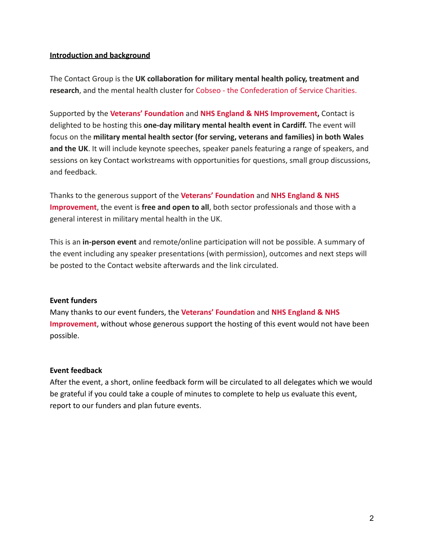### **Introduction and background**

The Contact Group is the **UK collaboration for military mental health policy, treatment and research**, and the mental health cluster for Cobseo [- the Confederation of Service Charities.](https://www.cobseo.org.uk/)

Supported by the **[Veterans' Foundation](https://www.veteransfoundation.org.uk/)** and **NHS England [& NHS Improvement,](https://www.nhs.uk/nhs-services/armed-forces-community/mental-health/veterans-reservists/)** Contact is delighted to be hosting this **one-day military mental health event in Cardiff.** The event will focus on the **military mental health sector (for serving, veterans and families) in both Wales and the UK**. It will include keynote speeches, speaker panels featuring a range of speakers, and sessions on key Contact workstreams with opportunities for questions, small group discussions, and feedback.

Thanks to the generous support of the **[Veterans' Foundation](https://www.veteransfoundation.org.uk/)** and **[NHS England & NHS](https://www.nhs.uk/nhs-services/armed-forces-community/mental-health/veterans-reservists/) [Improvement](https://www.nhs.uk/nhs-services/armed-forces-community/mental-health/veterans-reservists/)**, the event is **free and open to all**, both sector professionals and those with a general interest in military mental health in the UK.

This is an **in-person event** and remote/online participation will not be possible. A summary of the event including any speaker presentations (with permission), outcomes and next steps will be posted to the Contact website afterwards and the link circulated.

### **Event funders**

Many thanks to our event funders, the **[Veterans' Foundation](https://www.veteransfoundation.org.uk/)** and **[NHS England & NHS](https://www.nhs.uk/nhs-services/armed-forces-community/mental-health/veterans-reservists/) [Improvement](https://www.nhs.uk/nhs-services/armed-forces-community/mental-health/veterans-reservists/)**, without whose generous support the hosting of this event would not have been possible.

### **Event feedback**

After the event, a short, online feedback form will be circulated to all delegates which we would be grateful if you could take a couple of minutes to complete to help us evaluate this event, report to our funders and plan future events.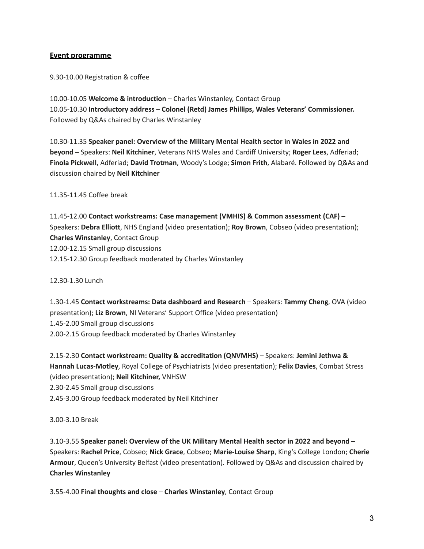### **Event programme**

9.30-10.00 Registration & coffee

10.00-10.05 **Welcome & introduction** – Charles Winstanley, Contact Group 10.05-10.30 **Introductory address** – **Colonel (Retd) James Phillips, Wales Veterans' Commissioner.** Followed by Q&As chaired by Charles Winstanley

10.30-11.35 **Speaker panel: Overview of the Military Mental Health sector in Wales in 2022 and beyond –** Speakers: **Neil Kitchiner**, Veterans NHS Wales and Cardiff University; **Roger Lees**, Adferiad; **Finola Pickwell**, Adferiad; **David Trotman**, Woody's Lodge; **Simon Frith**, Alabaré. Followed by Q&As and discussion chaired by **Neil Kitchiner**

11.35-11.45 Coffee break

11.45-12.00 **Contact workstreams: Case management (VMHIS) & Common assessment (CAF)** – Speakers: **Debra Elliott**, NHS England (video presentation); **Roy Brown**, Cobseo (video presentation); **Charles Winstanley**, Contact Group 12.00-12.15 Small group discussions 12.15-12.30 Group feedback moderated by Charles Winstanley

12.30-1.30 Lunch

1.30-1.45 **Contact workstreams: Data dashboard and Research** – Speakers: **Tammy Cheng**, OVA (video presentation); **Liz Brown**, NI Veterans' Support Office (video presentation) 1.45-2.00 Small group discussions 2.00-2.15 Group feedback moderated by Charles Winstanley

2.15-2.30 **Contact workstream: Quality & accreditation (QNVMHS)** – Speakers: **Jemini Jethwa & Hannah Lucas-Motley**, Royal College of Psychiatrists (video presentation); **Felix Davies**, Combat Stress (video presentation); **Neil Kitchiner,** VNHSW 2.30-2.45 Small group discussions 2.45-3.00 Group feedback moderated by Neil Kitchiner

3.00-3.10 Break

3.10-3.55 **Speaker panel: Overview of the UK Military Mental Health sector in 2022 and beyond –** Speakers: **Rachel Price**, Cobseo; **Nick Grace**, Cobseo; **Marie-Louise Sharp**, King's College London; **Cherie Armour**, Queen's University Belfast (video presentation). Followed by Q&As and discussion chaired by **Charles Winstanley**

3.55-4.00 **Final thoughts and close** – **Charles Winstanley**, Contact Group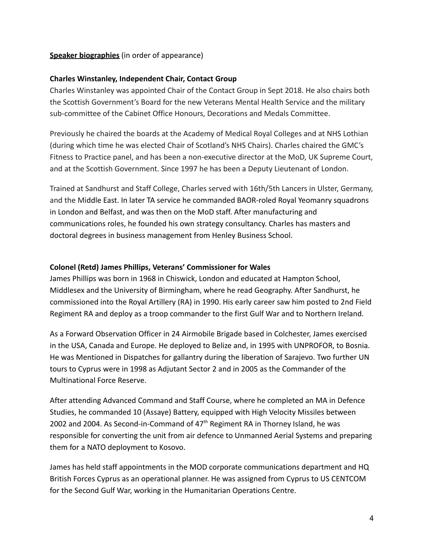### **Speaker biographies** (in order of appearance)

### **Charles Winstanley, Independent Chair, Contact Group**

Charles Winstanley was appointed Chair of the Contact Group in Sept 2018. He also chairs both the Scottish Government's Board for the new Veterans Mental Health Service and the military sub-committee of the Cabinet Office Honours, Decorations and Medals Committee.

Previously he chaired the boards at the Academy of Medical Royal Colleges and at NHS Lothian (during which time he was elected Chair of Scotland's NHS Chairs). Charles chaired the GMC's Fitness to Practice panel, and has been a non-executive director at the MoD, UK Supreme Court, and at the Scottish Government. Since 1997 he has been a Deputy Lieutenant of London.

Trained at Sandhurst and Staff College, Charles served with 16th/5th Lancers in Ulster, Germany, and the Middle East. In later TA service he commanded BAOR-roled Royal Yeomanry squadrons in London and Belfast, and was then on the MoD staff. After manufacturing and communications roles, he founded his own strategy consultancy. Charles has masters and doctoral degrees in business management from Henley Business School.

### **Colonel (Retd) James Phillips, Veterans' Commissioner for Wales**

James Phillips was born in 1968 in Chiswick, London and educated at Hampton School, Middlesex and the University of Birmingham, where he read Geography. After Sandhurst, he commissioned into the Royal Artillery (RA) in 1990. His early career saw him posted to 2nd Field Regiment RA and deploy as a troop commander to the first Gulf War and to Northern Ireland.

As a Forward Observation Officer in 24 Airmobile Brigade based in Colchester, James exercised in the USA, Canada and Europe. He deployed to Belize and, in 1995 with UNPROFOR, to Bosnia. He was Mentioned in Dispatches for gallantry during the liberation of Sarajevo. Two further UN tours to Cyprus were in 1998 as Adjutant Sector 2 and in 2005 as the Commander of the Multinational Force Reserve.

After attending Advanced Command and Staff Course, where he completed an MA in Defence Studies, he commanded 10 (Assaye) Battery, equipped with High Velocity Missiles between 2002 and 2004. As Second-in-Command of  $47<sup>th</sup>$  Regiment RA in Thorney Island, he was responsible for converting the unit from air defence to Unmanned Aerial Systems and preparing them for a NATO deployment to Kosovo.

James has held staff appointments in the MOD corporate communications department and HQ British Forces Cyprus as an operational planner. He was assigned from Cyprus to US CENTCOM for the Second Gulf War, working in the Humanitarian Operations Centre.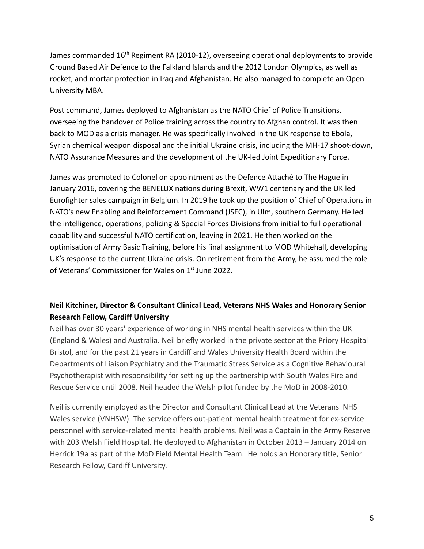James commanded  $16<sup>th</sup>$  Regiment RA (2010-12), overseeing operational deployments to provide Ground Based Air Defence to the Falkland Islands and the 2012 London Olympics, as well as rocket, and mortar protection in Iraq and Afghanistan. He also managed to complete an Open University MBA.

Post command, James deployed to Afghanistan as the NATO Chief of Police Transitions, overseeing the handover of Police training across the country to Afghan control. It was then back to MOD as a crisis manager. He was specifically involved in the UK response to Ebola, Syrian chemical weapon disposal and the initial Ukraine crisis, including the MH-17 shoot-down, NATO Assurance Measures and the development of the UK-led Joint Expeditionary Force.

James was promoted to Colonel on appointment as the Defence Attaché to The Hague in January 2016, covering the BENELUX nations during Brexit, WW1 centenary and the UK led Eurofighter sales campaign in Belgium. In 2019 he took up the position of Chief of Operations in NATO's new Enabling and Reinforcement Command (JSEC), in Ulm, southern Germany. He led the intelligence, operations, policing & Special Forces Divisions from initial to full operational capability and successful NATO certification, leaving in 2021. He then worked on the optimisation of Army Basic Training, before his final assignment to MOD Whitehall, developing UK's response to the current Ukraine crisis. On retirement from the Army, he assumed the role of Veterans' Commissioner for Wales on 1<sup>st</sup> June 2022.

# **Neil Kitchiner, Director & Consultant Clinical Lead, Veterans NHS Wales and Honorary Senior Research Fellow, Cardiff University**

Neil has over 30 years' experience of working in NHS mental health services within the UK (England & Wales) and Australia. Neil briefly worked in the private sector at the Priory Hospital Bristol, and for the past 21 years in Cardiff and Wales University Health Board within the Departments of Liaison Psychiatry and the Traumatic Stress Service as a Cognitive Behavioural Psychotherapist with responsibility for setting up the partnership with South Wales Fire and Rescue Service until 2008. Neil headed the Welsh pilot funded by the MoD in 2008-2010.

Neil is currently employed as the Director and Consultant Clinical Lead at the Veterans' NHS Wales service (VNHSW). The service offers out-patient mental health treatment for ex-service personnel with service-related mental health problems. Neil was a Captain in the Army Reserve with 203 Welsh Field Hospital. He deployed to Afghanistan in October 2013 – January 2014 on Herrick 19a as part of the MoD Field Mental Health Team. He holds an Honorary title, Senior Research Fellow, Cardiff University.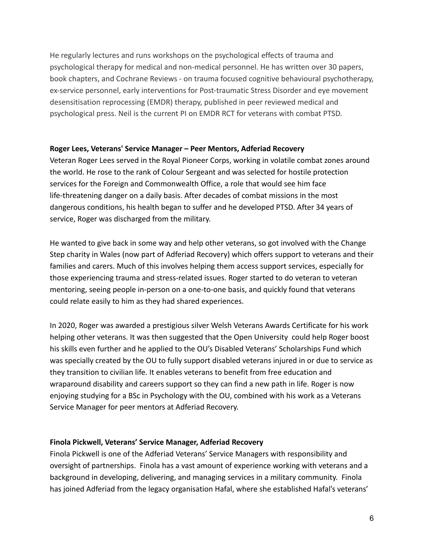He regularly lectures and runs workshops on the psychological effects of trauma and psychological therapy for medical and non-medical personnel. He has written over 30 papers, book chapters, and Cochrane Reviews - on trauma focused cognitive behavioural psychotherapy, ex-service personnel, early interventions for Post-traumatic Stress Disorder and eye movement desensitisation reprocessing (EMDR) therapy, published in peer reviewed medical and psychological press. Neil is the current PI on EMDR RCT for veterans with combat PTSD.

### **Roger Lees, Veterans' Service Manager – Peer Mentors, Adferiad Recovery**

Veteran Roger Lees served in the Royal Pioneer Corps, working in volatile combat zones around the world. He rose to the rank of Colour Sergeant and was selected for hostile protection services for the Foreign and Commonwealth Office, a role that would see him face life-threatening danger on a daily basis. After decades of combat missions in the most dangerous conditions, his health began to suffer and he developed PTSD. After 34 years of service, Roger was discharged from the military.

He wanted to give back in some way and help other veterans, so got involved with the Change Step charity in Wales (now part of Adferiad Recovery) which offers support to veterans and their families and carers. Much of this involves helping them access support services, especially for those experiencing trauma and stress-related issues. Roger started to do veteran to veteran mentoring, seeing people in-person on a one-to-one basis, and quickly found that veterans could relate easily to him as they had shared experiences.

In 2020, Roger was awarded a prestigious silver Welsh Veterans Awards Certificate for his work helping other veterans. It was then suggested that the Open University could help Roger boost his skills even further and he applied to the OU's Disabled Veterans' Scholarships Fund which was specially created by the OU to fully support disabled veterans injured in or due to service as they transition to civilian life. It enables veterans to benefit from free education and wraparound disability and careers support so they can find a new path in life. Roger is now enjoying studying for a BSc in Psychology with the OU, combined with his work as a Veterans Service Manager for peer mentors at Adferiad Recovery.

### **Finola Pickwell, Veterans' Service Manager, Adferiad Recovery**

Finola Pickwell is one of the Adferiad Veterans' Service Managers with responsibility and oversight of partnerships. Finola has a vast amount of experience working with veterans and a background in developing, delivering, and managing services in a military community. Finola has joined Adferiad from the legacy organisation Hafal, where she established Hafal's veterans'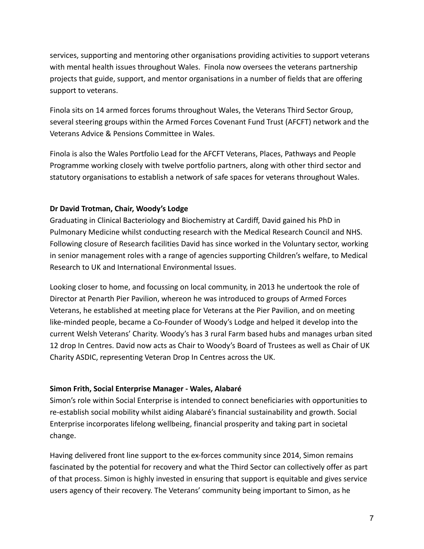services, supporting and mentoring other organisations providing activities to support veterans with mental health issues throughout Wales. Finola now oversees the veterans partnership projects that guide, support, and mentor organisations in a number of fields that are offering support to veterans.

Finola sits on 14 armed forces forums throughout Wales, the Veterans Third Sector Group, several steering groups within the Armed Forces Covenant Fund Trust (AFCFT) network and the Veterans Advice & Pensions Committee in Wales.

Finola is also the Wales Portfolio Lead for the AFCFT Veterans, Places, Pathways and People Programme working closely with twelve portfolio partners, along with other third sector and statutory organisations to establish a network of safe spaces for veterans throughout Wales.

### **Dr David Trotman, Chair, Woody's Lodge**

Graduating in Clinical Bacteriology and Biochemistry at Cardiff, David gained his PhD in Pulmonary Medicine whilst conducting research with the Medical Research Council and NHS. Following closure of Research facilities David has since worked in the Voluntary sector, working in senior management roles with a range of agencies supporting Children's welfare, to Medical Research to UK and International Environmental Issues.

Looking closer to home, and focussing on local community, in 2013 he undertook the role of Director at Penarth Pier Pavilion, whereon he was introduced to groups of Armed Forces Veterans, he established at meeting place for Veterans at the Pier Pavilion, and on meeting like-minded people, became a Co-Founder of Woody's Lodge and helped it develop into the current Welsh Veterans' Charity. Woody's has 3 rural Farm based hubs and manages urban sited 12 drop In Centres. David now acts as Chair to Woody's Board of Trustees as well as Chair of UK Charity ASDIC, representing Veteran Drop In Centres across the UK.

### **Simon Frith, Social Enterprise Manager - Wales, Alabaré**

Simon's role within Social Enterprise is intended to connect beneficiaries with opportunities to re-establish social mobility whilst aiding Alabaré's financial sustainability and growth. Social Enterprise incorporates lifelong wellbeing, financial prosperity and taking part in societal change.

Having delivered front line support to the ex-forces community since 2014, Simon remains fascinated by the potential for recovery and what the Third Sector can collectively offer as part of that process. Simon is highly invested in ensuring that support is equitable and gives service users agency of their recovery. The Veterans' community being important to Simon, as he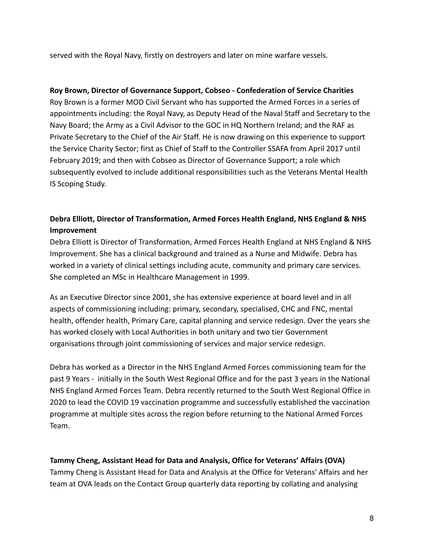served with the Royal Navy, firstly on destroyers and later on mine warfare vessels.

### **Roy Brown, Director of Governance Support, Cobseo - Confederation of Service Charities**

Roy Brown is a former MOD Civil Servant who has supported the Armed Forces in a series of appointments including: the Royal Navy, as Deputy Head of the Naval Staff and Secretary to the Navy Board; the Army as a Civil Advisor to the GOC in HQ Northern Ireland; and the RAF as Private Secretary to the Chief of the Air Staff. He is now drawing on this experience to support the Service Charity Sector; first as Chief of Staff to the Controller SSAFA from April 2017 until February 2019; and then with Cobseo as Director of Governance Support; a role which subsequently evolved to include additional responsibilities such as the Veterans Mental Health IS Scoping Study.

# **Debra Elliott, Director of Transformation, Armed Forces Health England, NHS England & NHS Improvement**

Debra Elliott is Director of Transformation, Armed Forces Health England at NHS England & NHS Improvement. She has a clinical background and trained as a Nurse and Midwife. Debra has worked in a variety of clinical settings including acute, community and primary care services. She completed an MSc in Healthcare Management in 1999.

As an Executive Director since 2001, she has extensive experience at board level and in all aspects of commissioning including: primary, secondary, specialised, CHC and FNC, mental health, offender health, Primary Care, capital planning and service redesign. Over the years she has worked closely with Local Authorities in both unitary and two tier Government organisations through joint commissioning of services and major service redesign.

Debra has worked as a Director in the NHS England Armed Forces commissioning team for the past 9 Years - initially in the South West Regional Office and for the past 3 years in the National NHS England Armed Forces Team. Debra recently returned to the South West Regional Office in 2020 to lead the COVID 19 vaccination programme and successfully established the vaccination programme at multiple sites across the region before returning to the National Armed Forces Team.

### **Tammy Cheng, Assistant Head for Data and Analysis, Office for Veterans' Affairs (OVA)**

Tammy Cheng is Assistant Head for Data and Analysis at the Office for Veterans' Affairs and her team at OVA leads on the Contact Group quarterly data reporting by collating and analysing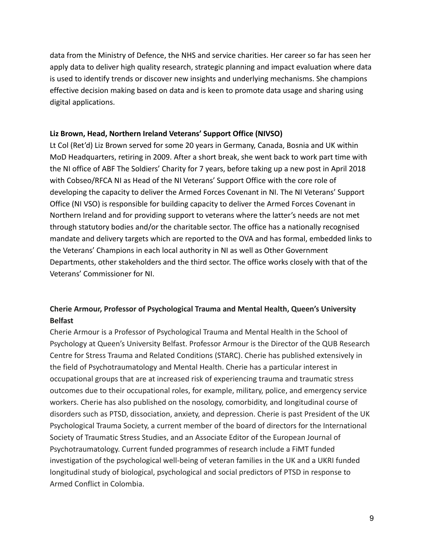data from the Ministry of Defence, the NHS and service charities. Her career so far has seen her apply data to deliver high quality research, strategic planning and impact evaluation where data is used to identify trends or discover new insights and underlying mechanisms. She champions effective decision making based on data and is keen to promote data usage and sharing using digital applications.

### **Liz Brown, Head, Northern Ireland Veterans' Support Office (NIVSO)**

Lt Col (Ret'd) Liz Brown served for some 20 years in Germany, Canada, Bosnia and UK within MoD Headquarters, retiring in 2009. After a short break, she went back to work part time with the NI office of ABF The Soldiers' Charity for 7 years, before taking up a new post in April 2018 with Cobseo/RFCA NI as Head of the NI Veterans' Support Office with the core role of developing the capacity to deliver the Armed Forces Covenant in NI. The NI Veterans' Support Office (NI VSO) is responsible for building capacity to deliver the Armed Forces Covenant in Northern Ireland and for providing support to veterans where the latter's needs are not met through statutory bodies and/or the charitable sector. The office has a nationally recognised mandate and delivery targets which are reported to the OVA and has formal, embedded links to the Veterans' Champions in each local authority in NI as well as Other Government Departments, other stakeholders and the third sector. The office works closely with that of the Veterans' Commissioner for NI.

# **Cherie Armour, Professor of Psychological Trauma and Mental Health, Queen's University Belfast**

Cherie Armour is a Professor of Psychological Trauma and Mental Health in the School of Psychology at Queen's University Belfast. Professor Armour is the Director of the QUB Research Centre for Stress Trauma and Related Conditions (STARC). Cherie has published extensively in the field of Psychotraumatology and Mental Health. Cherie has a particular interest in occupational groups that are at increased risk of experiencing trauma and traumatic stress outcomes due to their occupational roles, for example, military, police, and emergency service workers. Cherie has also published on the nosology, comorbidity, and longitudinal course of disorders such as PTSD, dissociation, anxiety, and depression. Cherie is past President of the UK Psychological Trauma Society, a current member of the board of directors for the International Society of Traumatic Stress Studies, and an Associate Editor of the European Journal of Psychotraumatology. Current funded programmes of research include a FiMT funded investigation of the psychological well-being of veteran families in the UK and a UKRI funded longitudinal study of biological, psychological and social predictors of PTSD in response to Armed Conflict in Colombia.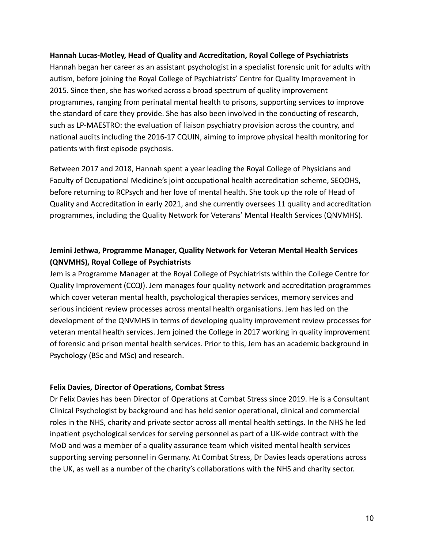### **Hannah Lucas-Motley, Head of Quality and Accreditation, Royal College of Psychiatrists**

Hannah began her career as an assistant psychologist in a specialist forensic unit for adults with autism, before joining the Royal College of Psychiatrists' Centre for Quality Improvement in 2015. Since then, she has worked across a broad spectrum of quality improvement programmes, ranging from perinatal mental health to prisons, supporting services to improve the standard of care they provide. She has also been involved in the conducting of research, such as LP-MAESTRO: the evaluation of liaison psychiatry provision across the country, and national audits including the 2016-17 CQUIN, aiming to improve physical health monitoring for patients with first episode psychosis.

Between 2017 and 2018, Hannah spent a year leading the Royal College of Physicians and Faculty of Occupational Medicine's joint occupational health accreditation scheme, SEQOHS, before returning to RCPsych and her love of mental health. She took up the role of Head of Quality and Accreditation in early 2021, and she currently oversees 11 quality and accreditation programmes, including the Quality Network for Veterans' Mental Health Services (QNVMHS).

# **Jemini Jethwa, Programme Manager, Quality Network for Veteran Mental Health Services (QNVMHS), Royal College of Psychiatrists**

Jem is a Programme Manager at the Royal College of Psychiatrists within the College Centre for Quality Improvement (CCQI). Jem manages four quality network and accreditation programmes which cover veteran mental health, psychological therapies services, memory services and serious incident review processes across mental health organisations. Jem has led on the development of the QNVMHS in terms of developing quality improvement review processes for veteran mental health services. Jem joined the College in 2017 working in quality improvement of forensic and prison mental health services. Prior to this, Jem has an academic background in Psychology (BSc and MSc) and research.

### **Felix Davies, Director of Operations, Combat Stress**

Dr Felix Davies has been Director of Operations at Combat Stress since 2019. He is a Consultant Clinical Psychologist by background and has held senior operational, clinical and commercial roles in the NHS, charity and private sector across all mental health settings. In the NHS he led inpatient psychological services for serving personnel as part of a UK-wide contract with the MoD and was a member of a quality assurance team which visited mental health services supporting serving personnel in Germany. At Combat Stress, Dr Davies leads operations across the UK, as well as a number of the charity's collaborations with the NHS and charity sector.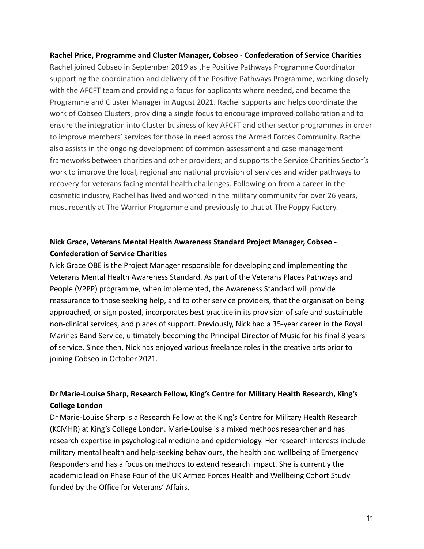**Rachel Price, Programme and Cluster Manager, Cobseo - Confederation of Service Charities** Rachel joined Cobseo in September 2019 as the Positive Pathways Programme Coordinator supporting the coordination and delivery of the Positive Pathways Programme, working closely with the AFCFT team and providing a focus for applicants where needed, and became the Programme and Cluster Manager in August 2021. Rachel supports and helps coordinate the work of Cobseo Clusters, providing a single focus to encourage improved collaboration and to ensure the integration into Cluster business of key AFCFT and other sector programmes in order to improve members' services for those in need across the Armed Forces Community. Rachel also assists in the ongoing development of common assessment and case management frameworks between charities and other providers; and supports the Service Charities Sector's work to improve the local, regional and national provision of services and wider pathways to recovery for veterans facing mental health challenges. Following on from a career in the cosmetic industry, Rachel has lived and worked in the military community for over 26 years, most recently at The Warrior Programme and previously to that at The Poppy Factory.

# **Nick Grace, Veterans Mental Health Awareness Standard Project Manager, Cobseo - Confederation of Service Charities**

Nick Grace OBE is the Project Manager responsible for developing and implementing the Veterans Mental Health Awareness Standard. As part of the Veterans Places Pathways and People (VPPP) programme, when implemented, the Awareness Standard will provide reassurance to those seeking help, and to other service providers, that the organisation being approached, or sign posted, incorporates best practice in its provision of safe and sustainable non-clinical services, and places of support. Previously, Nick had a 35-year career in the Royal Marines Band Service, ultimately becoming the Principal Director of Music for his final 8 years of service. Since then, Nick has enjoyed various freelance roles in the creative arts prior to joining Cobseo in October 2021.

# **Dr Marie-Louise Sharp, Research Fellow, King's Centre for Military Health Research, King's College London**

Dr Marie-Louise Sharp is a Research Fellow at the King's Centre for Military Health Research (KCMHR) at King's College London. Marie-Louise is a mixed methods researcher and has research expertise in psychological medicine and epidemiology. Her research interests include military mental health and help-seeking behaviours, the health and wellbeing of Emergency Responders and has a focus on methods to extend research impact. She is currently the academic lead on Phase Four of the UK Armed Forces Health and Wellbeing Cohort Study funded by the Office for Veterans' Affairs.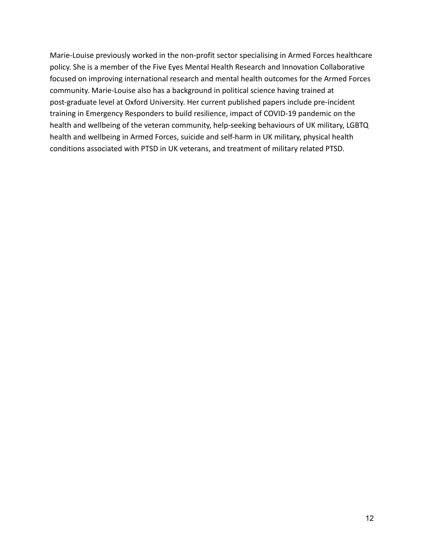Marie-Louise previously worked in the non-profit sector specialising in Armed Forces healthcare policy. She is a member of the Five Eyes Mental Health Research and Innovation Collaborative focused on improving international research and mental health outcomes for the Armed Forces community. Marie-Louise also has a background in political science having trained at post-graduate level at Oxford University. Her current published papers include pre-incident training in Emergency Responders to build resilience, impact of COVID-19 pandemic on the health and wellbeing of the veteran community, help-seeking behaviours of UK military, LGBTQ health and wellbeing in Armed Forces, suicide and self-harm in UK military, physical health conditions associated with PTSD in UK veterans, and treatment of military related PTSD.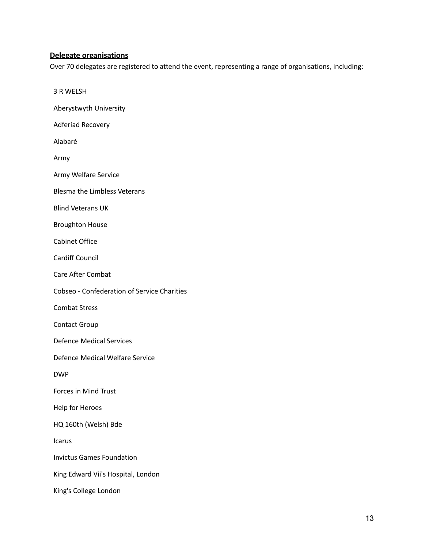### **Delegate organisations**

Over 70 delegates are registered to attend the event, representing a range of organisations, including:

3 R WELSH

Aberystwyth University

Adferiad Recovery

Alabaré

Army

Army Welfare Service

Blesma the Limbless Veterans

Blind Veterans UK

Broughton House

Cabinet Office

Cardiff Council

Care After Combat

Cobseo - Confederation of Service Charities

Combat Stress

Contact Group

Defence Medical Services

Defence Medical Welfare Service

DWP

Forces in Mind Trust

Help for Heroes

HQ 160th (Welsh) Bde

Icarus

Invictus Games Foundation

King Edward Vii's Hospital, London

King's College London